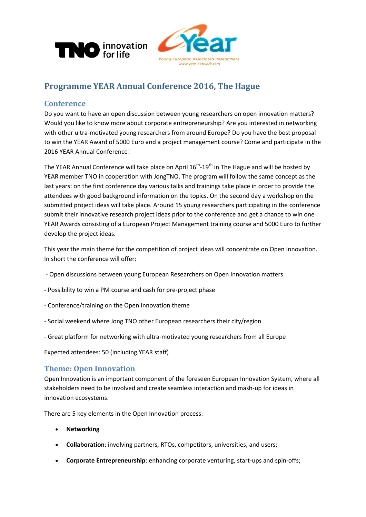



# **Programme YEAR Annual Conference 2016, The Hague**

## **Conference**

Do you want to have an open discussion between young researchers on open innovation matters? Would you like to know more about corporate entrepreneurship? Are you interested in networking with other ultra-motivated young researchers from around Europe? Do you have the best proposal to win the YEAR Award of 5000 Euro and a project management course? Come and participate in the 2016 YEAR Annual Conference!

The YEAR Annual Conference will take place on April 16<sup>th</sup>-19<sup>th</sup> in The Hague and will be hosted by YEAR member TNO in cooperation with JongTNO. The program will follow the same concept as the last years: on the first conference day various talks and trainings take place in order to provide the attendees with good background information on the topics. On the second day a workshop on the submitted project ideas will take place. Around 15 young researchers participating in the conference submit their innovative research project ideas prior to the conference and get a chance to win one YEAR Awards consisting of a European Project Management training course and 5000 Euro to further develop the project ideas.

This year the main theme for the competition of project ideas will concentrate on Open Innovation. In short the conference will offer:

- Open discussions between young European Researchers on Open Innovation matters
- Possibility to win a PM course and cash for pre-project phase
- Conference/training on the Open Innovation theme
- Social weekend where Jong TNO other European researchers their city/region
- Great platform for networking with ultra-motivated young researchers from all Europe

Expected attendees: 50 (including YEAR staff)

### **Theme: Open Innovation**

Open Innovation is an important component of the foreseen European Innovation System, where all stakeholders need to be involved and create seamless interaction and mash-up for ideas in innovation ecosystems.

There are 5 key elements in the Open Innovation process:

- **Networking**
- **Collaboration**: involving partners, RTOs, competitors, universities, and users;
- **Corporate Entrepreneurship**: enhancing corporate venturing, start-ups and spin-offs;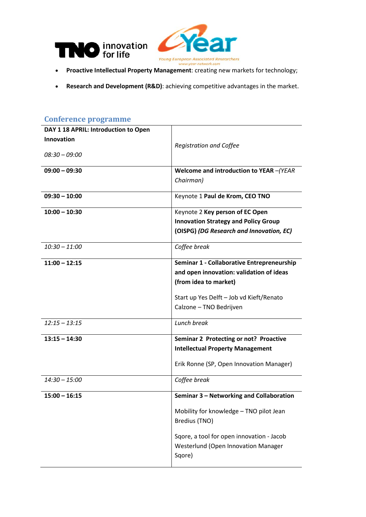

- **Proactive Intellectual Property Management**: creating new markets for technology;
- **Research and Development (R&D)**: achieving competitive advantages in the market.

| DAY 1 18 APRIL: Introduction to Open |                                             |
|--------------------------------------|---------------------------------------------|
| <b>Innovation</b>                    |                                             |
|                                      | <b>Registration and Coffee</b>              |
| $08:30 - 09:00$                      |                                             |
| $09:00 - 09:30$                      | Welcome and introduction to YEAR -(YEAR     |
|                                      | Chairman)                                   |
|                                      |                                             |
| $09:30 - 10:00$                      | Keynote 1 Paul de Krom, CEO TNO             |
| $10:00 - 10:30$                      | Keynote 2 Key person of EC Open             |
|                                      | <b>Innovation Strategy and Policy Group</b> |
|                                      | (OISPG) (DG Research and Innovation, EC)    |
|                                      |                                             |
| $10:30 - 11:00$                      | Coffee break                                |
| $11:00 - 12:15$                      | Seminar 1 - Collaborative Entrepreneurship  |
|                                      | and open innovation: validation of ideas    |
|                                      | (from idea to market)                       |
|                                      |                                             |
|                                      | Start up Yes Delft - Job vd Kieft/Renato    |
|                                      | Calzone - TNO Bedrijven                     |
| $12:15 - 13:15$                      | Lunch break                                 |
|                                      |                                             |
| $13:15 - 14:30$                      | Seminar 2 Protecting or not? Proactive      |
|                                      | <b>Intellectual Property Management</b>     |
|                                      | Erik Ronne (SP, Open Innovation Manager)    |
|                                      |                                             |
| $14:30 - 15:00$                      | Coffee break                                |
| $15:00 - 16:15$                      | Seminar 3 - Networking and Collaboration    |
|                                      | Mobility for knowledge - TNO pilot Jean     |
|                                      | Bredius (TNO)                               |
|                                      |                                             |
|                                      | Sqore, a tool for open innovation - Jacob   |
|                                      | Westerlund (Open Innovation Manager         |
|                                      | Sqore)                                      |
|                                      |                                             |

#### **Conference programme**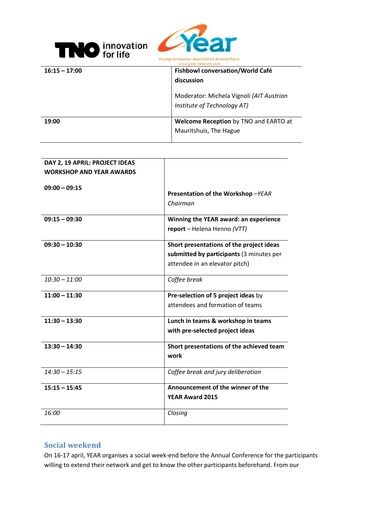



| $16:15 - 17:00$ | <b>Fishbowl conversation/World Café</b><br>discussion                   |
|-----------------|-------------------------------------------------------------------------|
|                 | Moderator: Michela Vignoli (AIT Austrian<br>Institute of Technology AT) |
| 19:00           | Welcome Reception by TNO and EARTO at                                   |
|                 | Mauritshuis, The Hague                                                  |

| DAY 2, 19 APRIL: PROJECT IDEAS  |                                                  |
|---------------------------------|--------------------------------------------------|
| <b>WORKSHOP AND YEAR AWARDS</b> |                                                  |
| $09:00 - 09:15$                 | Presentation of the Workshop-YEAR<br>Chairman    |
| $09:15 - 09:30$                 | Winning the YEAR award: an experience            |
|                                 | report - Helena Henno (VTT)                      |
| $09:30 - 10:30$                 | Short presentations of the project ideas         |
|                                 | submitted by participants (3 minutes per         |
|                                 | attendee in an elevator pitch)                   |
| $10:30 - 11:00$                 | Coffee break                                     |
| $11:00 - 11:30$                 | Pre-selection of 5 project ideas by              |
|                                 | attendees and formation of teams                 |
| $11:30 - 13:30$                 | Lunch in teams & workshop in teams               |
|                                 | with pre-selected project ideas                  |
| $13:30 - 14:30$                 | Short presentations of the achieved team<br>work |
| $14:30 - 15:15$                 | Coffee break and jury deliberation               |
| $15:15 - 15:45$                 | Announcement of the winner of the                |
|                                 | <b>YEAR Award 2015</b>                           |
| 16:00                           | Closing                                          |

### **Social weekend**

On 16-17 april, YEAR organises a social week-end before the Annual Conference for the participants willing to extend their network and get to know the other participants beforehand. From our